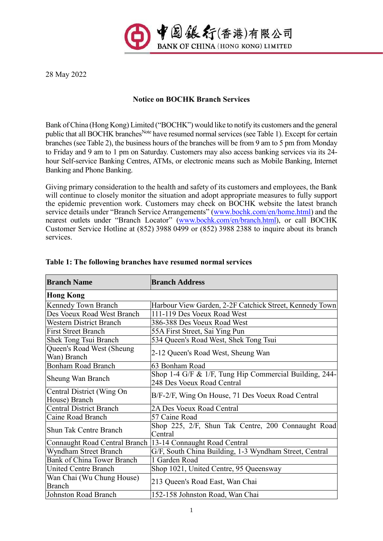

28 May 2022

## **Notice on BOCHK Branch Services**

Bank of China (Hong Kong) Limited ("BOCHK") would like to notify its customers and the general public that all BOCHK branches<sup>Note</sup> have resumed normal services (see Table 1). Except for certain branches (see Table 2), the business hours of the branches will be from 9 am to 5 pm from Monday to Friday and 9 am to 1 pm on Saturday. Customers may also access banking services via its 24 hour Self-service Banking Centres, ATMs, or electronic means such as Mobile Banking, Internet Banking and Phone Banking.

Giving primary consideration to the health and safety of its customers and employees, the Bank will continue to closely monitor the situation and adopt appropriate measures to fully support the epidemic prevention work. Customers may check on BOCHK website the latest branch service details under "Branch Service Arrangements" [\(www.bochk.com/en/home.html\)](http://www.bochk.com/en/home.html) and the nearest outlets under "Branch Locator" [\(www.bochk.com/en/branch.html\)](http://www.bochk.com/en/branch.html), or call BOCHK Customer Service Hotline at (852) 3988 0499 or (852) 3988 2388 to inquire about its branch services.

| <b>Branch Name</b>                         | <b>Branch Address</b>                                                                |  |
|--------------------------------------------|--------------------------------------------------------------------------------------|--|
| <b>Hong Kong</b>                           |                                                                                      |  |
| Kennedy Town Branch                        | Harbour View Garden, 2-2F Catchick Street, Kennedy Town                              |  |
| Des Voeux Road West Branch                 | 111-119 Des Voeux Road West                                                          |  |
| <b>Western District Branch</b>             | 386-388 Des Voeux Road West                                                          |  |
| <b>First Street Branch</b>                 | 55A First Street, Sai Ying Pun                                                       |  |
| Shek Tong Tsui Branch                      | 534 Queen's Road West, Shek Tong Tsui                                                |  |
| Queen's Road West (Sheung<br>Wan) Branch   | 2-12 Queen's Road West, Sheung Wan                                                   |  |
| <b>Bonham Road Branch</b>                  | 63 Bonham Road                                                                       |  |
| <b>Sheung Wan Branch</b>                   | Shop 1-4 G/F & 1/F, Tung Hip Commercial Building, 244-<br>248 Des Voeux Road Central |  |
| Central District (Wing On<br>House) Branch | B/F-2/F, Wing On House, 71 Des Voeux Road Central                                    |  |
| <b>Central District Branch</b>             | 2A Des Voeux Road Central                                                            |  |
| Caine Road Branch                          | 57 Caine Road                                                                        |  |
| <b>Shun Tak Centre Branch</b>              | Shop 225, 2/F, Shun Tak Centre, 200 Connaught Road<br>Central                        |  |
| Connaught Road Central Branch              | 13-14 Connaught Road Central                                                         |  |
| Wyndham Street Branch                      | G/F, South China Building, 1-3 Wyndham Street, Central                               |  |
| Bank of China Tower Branch                 | 1 Garden Road                                                                        |  |
| <b>United Centre Branch</b>                | Shop 1021, United Centre, 95 Queensway                                               |  |
| Wan Chai (Wu Chung House)<br><b>Branch</b> | 213 Queen's Road East, Wan Chai                                                      |  |
| Johnston Road Branch                       | 152-158 Johnston Road, Wan Chai                                                      |  |

## **Table 1: The following branches have resumed normal services**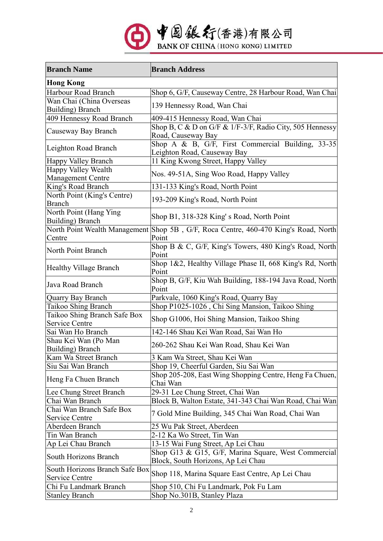

| <b>Branch Name</b>                               | <b>Branch Address</b>                                                                        |  |
|--------------------------------------------------|----------------------------------------------------------------------------------------------|--|
| <b>Hong Kong</b>                                 |                                                                                              |  |
| Harbour Road Branch                              | Shop 6, G/F, Causeway Centre, 28 Harbour Road, Wan Chai                                      |  |
| Wan Chai (China Overseas<br>Building) Branch     | 139 Hennessy Road, Wan Chai                                                                  |  |
| 409 Hennessy Road Branch                         | 409-415 Hennessy Road, Wan Chai                                                              |  |
| Causeway Bay Branch                              | Shop B, C & D on G/F & 1/F-3/F, Radio City, 505 Hennessy<br>Road, Causeway Bay               |  |
| Leighton Road Branch                             | Shop A & B, G/F, First Commercial Building, 33-35<br>Leighton Road, Causeway Bay             |  |
| Happy Valley Branch                              | 11 King Kwong Street, Happy Valley                                                           |  |
| Happy Valley Wealth<br><b>Management Centre</b>  | Nos. 49-51A, Sing Woo Road, Happy Valley                                                     |  |
| King's Road Branch                               | 131-133 King's Road, North Point                                                             |  |
| North Point (King's Centre)<br><b>Branch</b>     | 193-209 King's Road, North Point                                                             |  |
| North Point (Hang Ying<br>Building) Branch       | Shop B1, 318-328 King's Road, North Point                                                    |  |
| Centre                                           | North Point Wealth Management Shop 5B, G/F, Roca Centre, 460-470 King's Road, North<br>Point |  |
| North Point Branch                               | Shop B & C, G/F, King's Towers, 480 King's Road, North<br>Point                              |  |
| Healthy Village Branch                           | Shop 1&2, Healthy Village Phase II, 668 King's Rd, North<br>Point                            |  |
| Java Road Branch                                 | Shop B, G/F, Kiu Wah Building, 188-194 Java Road, North<br>Point                             |  |
| Quarry Bay Branch                                | Parkvale, 1060 King's Road, Quarry Bay                                                       |  |
| Taikoo Shing Branch                              | Shop P1025-1026, Chi Sing Mansion, Taikoo Shing                                              |  |
| Taikoo Shing Branch Safe Box<br>Service Centre   | Shop G1006, Hoi Shing Mansion, Taikoo Shing                                                  |  |
| Sai Wan Ho Branch                                | 142-146 Shau Kei Wan Road, Sai Wan Ho                                                        |  |
| Shau Kei Wan (Po Man<br>Building) Branch         | 260-262 Shau Kei Wan Road, Shau Kei Wan                                                      |  |
| Kam Wa Street Branch                             | 3 Kam Wa Street, Shau Kei Wan                                                                |  |
| Siu Sai Wan Branch                               | Shop 19, Cheerful Garden, Siu Sai Wan                                                        |  |
| Heng Fa Chuen Branch                             | Shop 205-208, East Wing Shopping Centre, Heng Fa Chuen,<br>Chai Wan                          |  |
| Lee Chung Street Branch                          | 29-31 Lee Chung Street, Chai Wan                                                             |  |
| Chai Wan Branch                                  | Block B, Walton Estate, 341-343 Chai Wan Road, Chai Wan                                      |  |
| Chai Wan Branch Safe Box<br>Service Centre       | 7 Gold Mine Building, 345 Chai Wan Road, Chai Wan                                            |  |
| Aberdeen Branch                                  | 25 Wu Pak Street, Aberdeen                                                                   |  |
| Tin Wan Branch                                   | 2-12 Ka Wo Street, Tin Wan                                                                   |  |
| Ap Lei Chau Branch                               | 13-15 Wai Fung Street, Ap Lei Chau                                                           |  |
| <b>South Horizons Branch</b>                     | Shop G13 & G15, G/F, Marina Square, West Commercial<br>Block, South Horizons, Ap Lei Chau    |  |
| South Horizons Branch Safe Box<br>Service Centre | Shop 118, Marina Square East Centre, Ap Lei Chau                                             |  |
| Chi Fu Landmark Branch                           | Shop 510, Chi Fu Landmark, Pok Fu Lam                                                        |  |
| Stanley Branch                                   | Shop No.301B, Stanley Plaza                                                                  |  |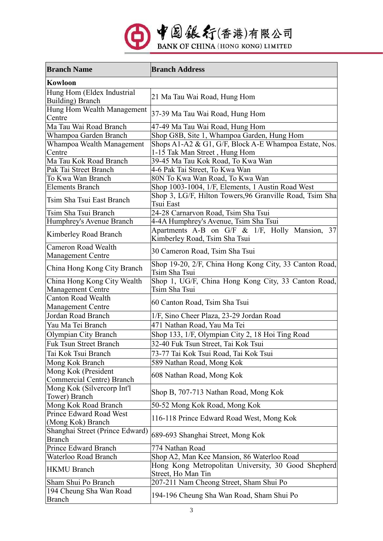

| <b>Branch Name</b>                                     | <b>Branch Address</b>                                                                  |  |
|--------------------------------------------------------|----------------------------------------------------------------------------------------|--|
| <b>Kowloon</b>                                         |                                                                                        |  |
| Hung Hom (Eldex Industrial<br><b>Building</b> ) Branch | 21 Ma Tau Wai Road, Hung Hom                                                           |  |
| Hung Hom Wealth Management<br>Centre                   | 37-39 Ma Tau Wai Road, Hung Hom                                                        |  |
| Ma Tau Wai Road Branch                                 | 47-49 Ma Tau Wai Road, Hung Hom                                                        |  |
| Whampoa Garden Branch                                  | Shop G8B, Site 1, Whampoa Garden, Hung Hom                                             |  |
| Whampoa Wealth Management<br>Centre                    | Shops A1-A2 & G1, G/F, Block A-E Whampoa Estate, Nos.<br>1-15 Tak Man Street, Hung Hom |  |
| Ma Tau Kok Road Branch                                 | 39-45 Ma Tau Kok Road, To Kwa Wan                                                      |  |
| Pak Tai Street Branch                                  | 4-6 Pak Tai Street, To Kwa Wan                                                         |  |
| To Kwa Wan Branch                                      | 80N To Kwa Wan Road, To Kwa Wan                                                        |  |
| <b>Elements Branch</b>                                 | Shop 1003-1004, 1/F, Elements, 1 Austin Road West                                      |  |
| Tsim Sha Tsui East Branch                              | Shop 3, LG/F, Hilton Towers, 96 Granville Road, Tsim Sha<br>Tsui East                  |  |
| Tsim Sha Tsui Branch                                   | 24-28 Carnarvon Road, Tsim Sha Tsui                                                    |  |
| Humphrey's Avenue Branch                               | 4-4A Humphrey's Avenue, Tsim Sha Tsui                                                  |  |
| Kimberley Road Branch                                  | Apartments A-B on G/F & 1/F, Holly Mansion, 37<br>Kimberley Road, Tsim Sha Tsui        |  |
| <b>Cameron Road Wealth</b><br><b>Management Centre</b> | 30 Cameron Road, Tsim Sha Tsui                                                         |  |
| China Hong Kong City Branch                            | Shop 19-20, 2/F, China Hong Kong City, 33 Canton Road,<br>Tsim Sha Tsui                |  |
| China Hong Kong City Wealth                            | Shop 1, UG/F, China Hong Kong City, 33 Canton Road,                                    |  |
| <b>Management Centre</b>                               | Tsim Sha Tsui                                                                          |  |
| <b>Canton Road Wealth</b><br><b>Management Centre</b>  | 60 Canton Road, Tsim Sha Tsui                                                          |  |
| Jordan Road Branch                                     | 1/F, Sino Cheer Plaza, 23-29 Jordan Road                                               |  |
| Yau Ma Tei Branch                                      | 471 Nathan Road, Yau Ma Tei                                                            |  |
| Olympian City Branch                                   | Shop 133, 1/F, Olympian City 2, 18 Hoi Ting Road                                       |  |
| <b>Fuk Tsun Street Branch</b>                          | 32-40 Fuk Tsun Street, Tai Kok Tsui                                                    |  |
| Tai Kok Tsui Branch                                    | 73-77 Tai Kok Tsui Road, Tai Kok Tsui                                                  |  |
| Mong Kok Branch                                        | 589 Nathan Road, Mong Kok                                                              |  |
| Mong Kok (President<br>Commercial Centre) Branch       | 608 Nathan Road, Mong Kok                                                              |  |
| Mong Kok (Silvercorp Int'l<br>Tower) Branch            | Shop B, 707-713 Nathan Road, Mong Kok                                                  |  |
| Mong Kok Road Branch                                   | 50-52 Mong Kok Road, Mong Kok                                                          |  |
| Prince Edward Road West<br>(Mong Kok) Branch           | 116-118 Prince Edward Road West, Mong Kok                                              |  |
| Shanghai Street (Prince Edward)<br><b>Branch</b>       | 689-693 Shanghai Street, Mong Kok                                                      |  |
| Prince Edward Branch                                   | 774 Nathan Road                                                                        |  |
| Waterloo Road Branch                                   | Shop A2, Man Kee Mansion, 86 Waterloo Road                                             |  |
| <b>HKMU</b> Branch                                     | Hong Kong Metropolitan University, 30 Good Shepherd<br>Street, Ho Man Tin              |  |
| Sham Shui Po Branch                                    | 207-211 Nam Cheong Street, Sham Shui Po                                                |  |
| 194 Cheung Sha Wan Road<br><b>Branch</b>               | 194-196 Cheung Sha Wan Road, Sham Shui Po                                              |  |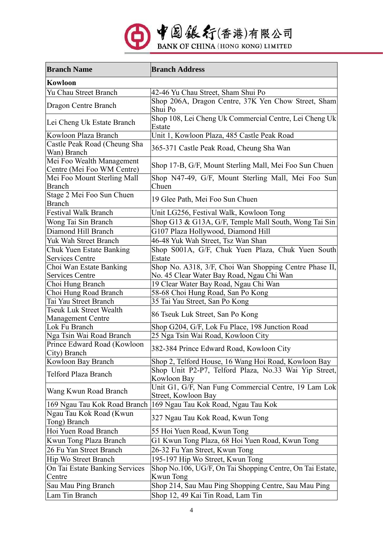

| <b>Branch Name</b>                          | <b>Branch Address</b>                                            |  |
|---------------------------------------------|------------------------------------------------------------------|--|
| Kowloon                                     |                                                                  |  |
| Yu Chau Street Branch                       | 42-46 Yu Chau Street, Sham Shui Po                               |  |
| Dragon Centre Branch                        | Shop 206A, Dragon Centre, 37K Yen Chow Street, Sham<br>Shui Po   |  |
| Lei Cheng Uk Estate Branch                  | Shop 108, Lei Cheng Uk Commercial Centre, Lei Cheng Uk<br>Estate |  |
| Kowloon Plaza Branch                        | Unit 1, Kowloon Plaza, 485 Castle Peak Road                      |  |
| Castle Peak Road (Cheung Sha                |                                                                  |  |
| Wan) Branch                                 | 365-371 Castle Peak Road, Cheung Sha Wan                         |  |
| Mei Foo Wealth Management                   | Shop 17-B, G/F, Mount Sterling Mall, Mei Foo Sun Chuen           |  |
| Centre (Mei Foo WM Centre)                  |                                                                  |  |
| Mei Foo Mount Sterling Mall                 | Shop N47-49, G/F, Mount Sterling Mall, Mei Foo Sun               |  |
| <b>Branch</b>                               | Chuen                                                            |  |
| Stage 2 Mei Foo Sun Chuen                   | 19 Glee Path, Mei Foo Sun Chuen                                  |  |
| <b>Branch</b>                               |                                                                  |  |
| <b>Festival Walk Branch</b>                 | Unit LG256, Festival Walk, Kowloon Tong                          |  |
| Wong Tai Sin Branch                         | Shop G13 & G13A, G/F, Temple Mall South, Wong Tai Sin            |  |
| Diamond Hill Branch                         | G107 Plaza Hollywood, Diamond Hill                               |  |
| Yuk Wah Street Branch                       | 46-48 Yuk Wah Street, Tsz Wan Shan                               |  |
| Chuk Yuen Estate Banking                    | Shop S001A, G/F, Chuk Yuen Plaza, Chuk Yuen South                |  |
| <b>Services Centre</b>                      | Estate                                                           |  |
| Choi Wan Estate Banking                     | Shop No. A318, 3/F, Choi Wan Shopping Centre Phase II,           |  |
| <b>Services Centre</b>                      | No. 45 Clear Water Bay Road, Ngau Chi Wan                        |  |
| Choi Hung Branch                            | 19 Clear Water Bay Road, Ngau Chi Wan                            |  |
| Choi Hung Road Branch                       | 58-68 Choi Hung Road, San Po Kong                                |  |
| Tai Yau Street Branch                       | 35 Tai Yau Street, San Po Kong                                   |  |
| <b>Tseuk Luk Street Wealth</b>              | 86 Tseuk Luk Street, San Po Kong                                 |  |
| Management Centre                           |                                                                  |  |
| Lok Fu Branch                               | Shop G204, G/F, Lok Fu Place, 198 Junction Road                  |  |
| Nga Tsin Wai Road Branch                    | 25 Nga Tsin Wai Road, Kowloon City                               |  |
| Prince Edward Road (Kowloon<br>City) Branch | 382-384 Prince Edward Road, Kowloon City                         |  |
| Kowloon Bay Branch                          | Shop 2, Telford House, 16 Wang Hoi Road, Kowloon Bay             |  |
| Telford Plaza Branch                        | Shop Unit P2-P7, Telford Plaza, No.33 Wai Yip Street,            |  |
|                                             | Kowloon Bay                                                      |  |
| Wang Kwun Road Branch                       | Unit G1, G/F, Nan Fung Commercial Centre, 19 Lam Lok             |  |
|                                             | Street, Kowloon Bay                                              |  |
| 169 Ngau Tau Kok Road Branch                | 169 Ngau Tau Kok Road, Ngau Tau Kok                              |  |
| Ngau Tau Kok Road (Kwun<br>Tong) Branch     | 327 Ngau Tau Kok Road, Kwun Tong                                 |  |
| Hoi Yuen Road Branch                        | 55 Hoi Yuen Road, Kwun Tong                                      |  |
| Kwun Tong Plaza Branch                      | G1 Kwun Tong Plaza, 68 Hoi Yuen Road, Kwun Tong                  |  |
| 26 Fu Yan Street Branch                     | 26-32 Fu Yan Street, Kwun Tong                                   |  |
| Hip Wo Street Branch                        | 195-197 Hip Wo Street, Kwun Tong                                 |  |
| On Tai Estate Banking Services              | Shop No.106, UG/F, On Tai Shopping Centre, On Tai Estate,        |  |
| Centre                                      | Kwun Tong                                                        |  |
| Sau Mau Ping Branch                         | Shop 214, Sau Mau Ping Shopping Centre, Sau Mau Ping             |  |
| Lam Tin Branch                              | Shop 12, 49 Kai Tin Road, Lam Tin                                |  |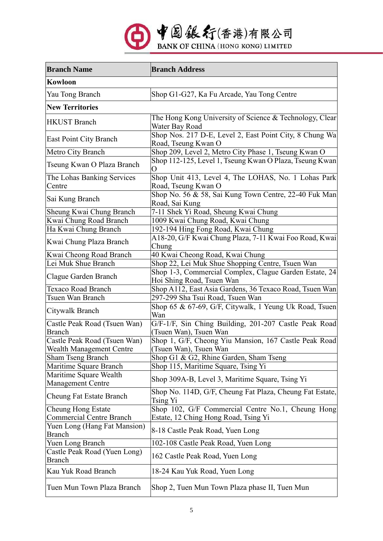

| <b>Branch Name</b>                            | <b>Branch Address</b>                                                               |  |
|-----------------------------------------------|-------------------------------------------------------------------------------------|--|
| <b>Kowloon</b>                                |                                                                                     |  |
| Yau Tong Branch                               | Shop G1-G27, Ka Fu Arcade, Yau Tong Centre                                          |  |
| <b>New Territories</b>                        |                                                                                     |  |
| <b>HKUST Branch</b>                           | The Hong Kong University of Science & Technology, Clear<br>Water Bay Road           |  |
| East Point City Branch                        | Shop Nos. 217 D-E, Level 2, East Point City, 8 Chung Wa<br>Road, Tseung Kwan O      |  |
| Metro City Branch                             | Shop 209, Level 2, Metro City Phase 1, Tseung Kwan O                                |  |
| Tseung Kwan O Plaza Branch                    | Shop 112-125, Level 1, Tseung Kwan O Plaza, Tseung Kwan<br>Ő                        |  |
| The Lohas Banking Services                    | Shop Unit 413, Level 4, The LOHAS, No. 1 Lohas Park                                 |  |
| Centre                                        | Road, Tseung Kwan O                                                                 |  |
| Sai Kung Branch                               | Shop No. 56 & 58, Sai Kung Town Centre, 22-40 Fuk Man<br>Road, Sai Kung             |  |
| Sheung Kwai Chung Branch                      | 7-11 Shek Yi Road, Sheung Kwai Chung                                                |  |
| Kwai Chung Road Branch                        | 1009 Kwai Chung Road, Kwai Chung                                                    |  |
| Ha Kwai Chung Branch                          | 192-194 Hing Fong Road, Kwai Chung                                                  |  |
| Kwai Chung Plaza Branch                       | A18-20, G/F Kwai Chung Plaza, 7-11 Kwai Foo Road, Kwai<br>Chung                     |  |
| Kwai Cheong Road Branch                       | 40 Kwai Cheong Road, Kwai Chung                                                     |  |
| Lei Muk Shue Branch                           | Shop 22, Lei Muk Shue Shopping Centre, Tsuen Wan                                    |  |
| Clague Garden Branch                          | Shop 1-3, Commercial Complex, Clague Garden Estate, 24<br>Hoi Shing Road, Tsuen Wan |  |
| <b>Texaco Road Branch</b>                     | Shop A112, East Asia Gardens, 36 Texaco Road, Tsuen Wan                             |  |
| Tsuen Wan Branch                              | 297-299 Sha Tsui Road, Tsuen Wan                                                    |  |
| Citywalk Branch                               | Shop 65 & 67-69, G/F, Citywalk, 1 Yeung Uk Road, Tsuen<br>Wan                       |  |
| Castle Peak Road (Tsuen Wan)<br><b>Branch</b> | G/F-1/F, Sin Ching Building, 201-207 Castle Peak Road<br>(Tsuen Wan), Tsuen Wan     |  |
| Castle Peak Road (Tsuen Wan)                  | Shop 1, G/F, Cheong Yiu Mansion, 167 Castle Peak Road                               |  |
| Wealth Management Centre                      | (Tsuen Wan), Tsuen Wan                                                              |  |
| <b>Sham Tseng Branch</b>                      | Shop G1 & G2, Rhine Garden, Sham Tseng                                              |  |
| Maritime Square Branch                        | Shop 115, Maritime Square, Tsing Yi                                                 |  |
| Maritime Square Wealth<br>Management Centre   | Shop 309A-B, Level 3, Maritime Square, Tsing Yi                                     |  |
| Cheung Fat Estate Branch                      | Shop No. 114D, G/F, Cheung Fat Plaza, Cheung Fat Estate,<br>Tsing Yi                |  |
| <b>Cheung Hong Estate</b>                     | Shop 102, G/F Commercial Centre No.1, Cheung Hong                                   |  |
| <b>Commercial Centre Branch</b>               | Estate, 12 Ching Hong Road, Tsing Yi                                                |  |
| Yuen Long (Hang Fat Mansion)<br>Branch        | 8-18 Castle Peak Road, Yuen Long                                                    |  |
| Yuen Long Branch                              | 102-108 Castle Peak Road, Yuen Long                                                 |  |
| Castle Peak Road (Yuen Long)<br><b>Branch</b> | 162 Castle Peak Road, Yuen Long                                                     |  |
| Kau Yuk Road Branch                           | 18-24 Kau Yuk Road, Yuen Long                                                       |  |
| Tuen Mun Town Plaza Branch                    | Shop 2, Tuen Mun Town Plaza phase II, Tuen Mun                                      |  |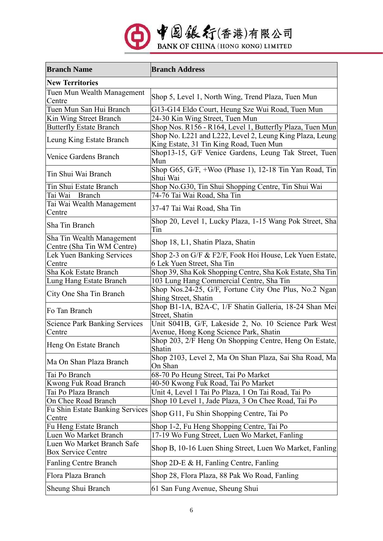

| <b>Branch Name</b>                                      | <b>Branch Address</b>                                                                               |  |
|---------------------------------------------------------|-----------------------------------------------------------------------------------------------------|--|
| <b>New Territories</b>                                  |                                                                                                     |  |
| Tuen Mun Wealth Management<br>Centre                    | Shop 5, Level 1, North Wing, Trend Plaza, Tuen Mun                                                  |  |
| Tuen Mun San Hui Branch                                 | G13-G14 Eldo Court, Heung Sze Wui Road, Tuen Mun                                                    |  |
| Kin Wing Street Branch                                  | 24-30 Kin Wing Street, Tuen Mun                                                                     |  |
| <b>Butterfly Estate Branch</b>                          | Shop Nos. R156 - R164, Level 1, Butterfly Plaza, Tuen Mun                                           |  |
| Leung King Estate Branch                                | Shop No. L221 and L222, Level 2, Leung King Plaza, Leung<br>King Estate, 31 Tin King Road, Tuen Mun |  |
| Venice Gardens Branch                                   | Shop13-15, G/F Venice Gardens, Leung Tak Street, Tuen<br>Mun                                        |  |
| Tin Shui Wai Branch                                     | Shop G65, G/F, +Woo (Phase 1), 12-18 Tin Yan Road, Tin<br>Shui Wai                                  |  |
| Tin Shui Estate Branch                                  | Shop No.G30, Tin Shui Shopping Centre, Tin Shui Wai                                                 |  |
| Tai Wai Branch                                          | 74-76 Tai Wai Road, Sha Tin                                                                         |  |
| Tai Wai Wealth Management<br>Centre                     | 37-47 Tai Wai Road, Sha Tin                                                                         |  |
| Sha Tin Branch                                          | Shop 20, Level 1, Lucky Plaza, 1-15 Wang Pok Street, Sha<br>Tin                                     |  |
| Sha Tin Wealth Management<br>Centre (Sha Tin WM Centre) | Shop 18, L1, Shatin Plaza, Shatin                                                                   |  |
| Lek Yuen Banking Services                               | Shop 2-3 on G/F & F2/F, Fook Hoi House, Lek Yuen Estate,                                            |  |
| Centre                                                  | 6 Lek Yuen Street, Sha Tin                                                                          |  |
| Sha Kok Estate Branch                                   | Shop 39, Sha Kok Shopping Centre, Sha Kok Estate, Sha Tin                                           |  |
| Lung Hang Estate Branch                                 | 103 Lung Hang Commercial Centre, Sha Tin                                                            |  |
| City One Sha Tin Branch                                 | Shop Nos.24-25, G/F, Fortune City One Plus, No.2 Ngan<br>Shing Street, Shatin                       |  |
| Fo Tan Branch                                           | Shop B1-1A, B2A-C, 1/F Shatin Galleria, 18-24 Shan Mei<br>Street, Shatin                            |  |
| <b>Science Park Banking Services</b><br>Centre          | Unit S041B, G/F, Lakeside 2, No. 10 Science Park West<br>Avenue, Hong Kong Science Park, Shatin     |  |
| Heng On Estate Branch                                   | Shop 203, 2/F Heng On Shopping Centre, Heng On Estate,<br>Shatin                                    |  |
| Ma On Shan Plaza Branch                                 | Shop 2103, Level 2, Ma On Shan Plaza, Sai Sha Road, Ma<br>On Shan                                   |  |
| Tai Po Branch                                           | 68-70 Po Heung Street, Tai Po Market                                                                |  |
| Kwong Fuk Road Branch                                   | 40-50 Kwong Fuk Road, Tai Po Market                                                                 |  |
| Tai Po Plaza Branch                                     | Unit 4, Level 1 Tai Po Plaza, 1 On Tai Road, Tai Po                                                 |  |
| On Chee Road Branch                                     | Shop 10 Level 1, Jade Plaza, 3 On Chee Road, Tai Po                                                 |  |
| <b>Fu Shin Estate Banking Services</b><br>Centre        | Shop G11, Fu Shin Shopping Centre, Tai Po                                                           |  |
| Fu Heng Estate Branch                                   | Shop 1-2, Fu Heng Shopping Centre, Tai Po                                                           |  |
| Luen Wo Market Branch                                   | 17-19 Wo Fung Street, Luen Wo Market, Fanling                                                       |  |
| Luen Wo Market Branch Safe<br>Box Service Centre        | Shop B, 10-16 Luen Shing Street, Luen Wo Market, Fanling                                            |  |
| <b>Fanling Centre Branch</b>                            | Shop 2D-E & H, Fanling Centre, Fanling                                                              |  |
| Flora Plaza Branch                                      | Shop 28, Flora Plaza, 88 Pak Wo Road, Fanling                                                       |  |
| Sheung Shui Branch                                      | 61 San Fung Avenue, Sheung Shui                                                                     |  |